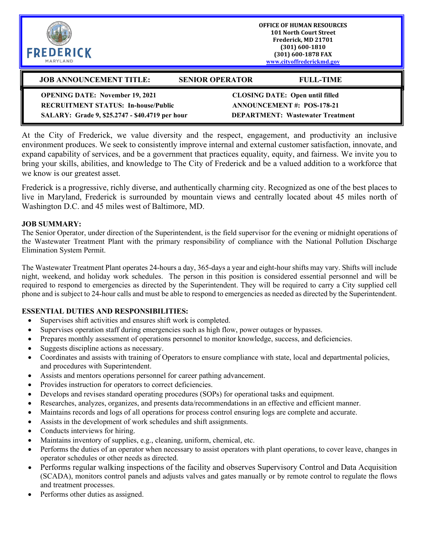| <b>FREDERICK</b><br>MARYLAND                                                                                                            |                                                                                                                       | <b>OFFICE OF HUMAN RESOURCES</b><br><b>101 North Court Street</b><br>Frederick, MD 21701<br>$(301) 600 - 1810$<br>(301) 600-1878 FAX<br>www.cityoffrederickmd.gov |
|-----------------------------------------------------------------------------------------------------------------------------------------|-----------------------------------------------------------------------------------------------------------------------|-------------------------------------------------------------------------------------------------------------------------------------------------------------------|
| <b>JOB ANNOUNCEMENT TITLE:</b>                                                                                                          | <b>SENIOR OPERATOR</b>                                                                                                | <b>FULL-TIME</b>                                                                                                                                                  |
| <b>OPENING DATE: November 19, 2021</b><br><b>RECRUITMENT STATUS: In-house/Public</b><br>SALARY: Grade 9, \$25.2747 - \$40.4719 per hour | <b>CLOSING DATE: Open until filled</b><br><b>ANNOUNCEMENT#: POS-178-21</b><br><b>DEPARTMENT: Wastewater Treatment</b> |                                                                                                                                                                   |

At the City of Frederick, we value diversity and the respect, engagement, and productivity an inclusive environment produces. We seek to consistently improve internal and external customer satisfaction, innovate, and expand capability of services, and be a government that practices equality, equity, and fairness. We invite you to bring your skills, abilities, and knowledge to The City of Frederick and be a valued addition to a workforce that we know is our greatest asset.

Frederick is a progressive, richly diverse, and authentically charming city. Recognized as one of the best places to live in Maryland, Frederick is surrounded by mountain views and centrally located about 45 miles north of Washington D.C. and 45 miles west of Baltimore, MD.

#### **JOB SUMMARY:**

The Senior Operator, under direction of the Superintendent, is the field supervisor for the evening or midnight operations of the Wastewater Treatment Plant with the primary responsibility of compliance with the National Pollution Discharge Elimination System Permit.

The Wastewater Treatment Plant operates 24-hours a day, 365-days a year and eight-hour shifts may vary. Shifts will include night, weekend, and holiday work schedules. The person in this position is considered essential personnel and will be required to respond to emergencies as directed by the Superintendent. They will be required to carry a City supplied cell phone and is subject to 24-hour calls and must be able to respond to emergencies as needed as directed by the Superintendent.

### **ESSENTIAL DUTIES AND RESPONSIBILITIES:**

- Supervises shift activities and ensures shift work is completed.
- Supervises operation staff during emergencies such as high flow, power outages or bypasses.
- Prepares monthly assessment of operations personnel to monitor knowledge, success, and deficiencies.
- Suggests discipline actions as necessary.
- Coordinates and assists with training of Operators to ensure compliance with state, local and departmental policies, and procedures with Superintendent.
- Assists and mentors operations personnel for career pathing advancement.
- Provides instruction for operators to correct deficiencies.
- Develops and revises standard operating procedures (SOPs) for operational tasks and equipment.
- Researches, analyzes, organizes, and presents data/recommendations in an effective and efficient manner.
- Maintains records and logs of all operations for process control ensuring logs are complete and accurate.
- Assists in the development of work schedules and shift assignments.
- Conducts interviews for hiring.
- Maintains inventory of supplies, e.g., cleaning, uniform, chemical, etc.
- Performs the duties of an operator when necessary to assist operators with plant operations, to cover leave, changes in operator schedules or other needs as directed.
- Performs regular walking inspections of the facility and observes Supervisory Control and Data Acquisition (SCADA), monitors control panels and adjusts valves and gates manually or by remote control to regulate the flows and treatment processes.
- Performs other duties as assigned.